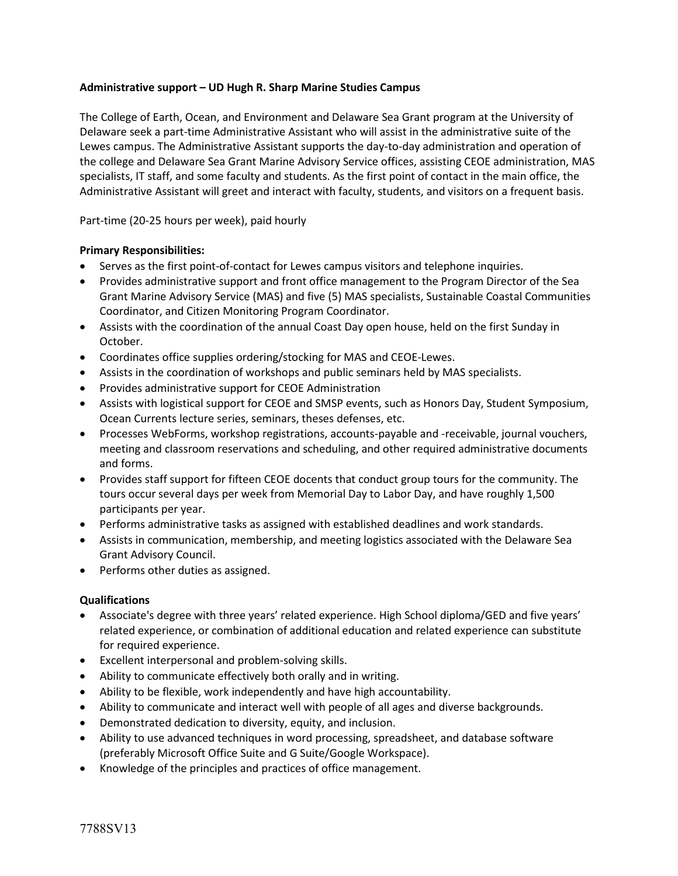## **Administrative support – UD Hugh R. Sharp Marine Studies Campus**

The College of Earth, Ocean, and Environment and Delaware Sea Grant program at the University of Delaware seek a part-time Administrative Assistant who will assist in the administrative suite of the Lewes campus. The Administrative Assistant supports the day-to-day administration and operation of the college and Delaware Sea Grant Marine Advisory Service offices, assisting CEOE administration, MAS specialists, IT staff, and some faculty and students. As the first point of contact in the main office, the Administrative Assistant will greet and interact with faculty, students, and visitors on a frequent basis.

Part-time (20-25 hours per week), paid hourly

## **Primary Responsibilities:**

- Serves as the first point-of-contact for Lewes campus visitors and telephone inquiries.
- Provides administrative support and front office management to the Program Director of the Sea Grant Marine Advisory Service (MAS) and five (5) MAS specialists, Sustainable Coastal Communities Coordinator, and Citizen Monitoring Program Coordinator.
- Assists with the coordination of the annual Coast Day open house, held on the first Sunday in October.
- Coordinates office supplies ordering/stocking for MAS and CEOE-Lewes.
- Assists in the coordination of workshops and public seminars held by MAS specialists.
- Provides administrative support for CEOE Administration
- Assists with logistical support for CEOE and SMSP events, such as Honors Day, Student Symposium, Ocean Currents lecture series, seminars, theses defenses, etc.
- Processes WebForms, workshop registrations, accounts-payable and -receivable, journal vouchers, meeting and classroom reservations and scheduling, and other required administrative documents and forms.
- Provides staff support for fifteen CEOE docents that conduct group tours for the community. The tours occur several days per week from Memorial Day to Labor Day, and have roughly 1,500 participants per year.
- Performs administrative tasks as assigned with established deadlines and work standards.
- Assists in communication, membership, and meeting logistics associated with the Delaware Sea Grant Advisory Council.
- Performs other duties as assigned.

## **Qualifications**

- Associate's degree with three years' related experience. High School diploma/GED and five years' related experience, or combination of additional education and related experience can substitute for required experience.
- Excellent interpersonal and problem-solving skills.
- Ability to communicate effectively both orally and in writing.
- Ability to be flexible, work independently and have high accountability.
- Ability to communicate and interact well with people of all ages and diverse backgrounds.
- Demonstrated dedication to diversity, equity, and inclusion.
- Ability to use advanced techniques in word processing, spreadsheet, and database software (preferably Microsoft Office Suite and G Suite/Google Workspace).
- Knowledge of the principles and practices of office management.